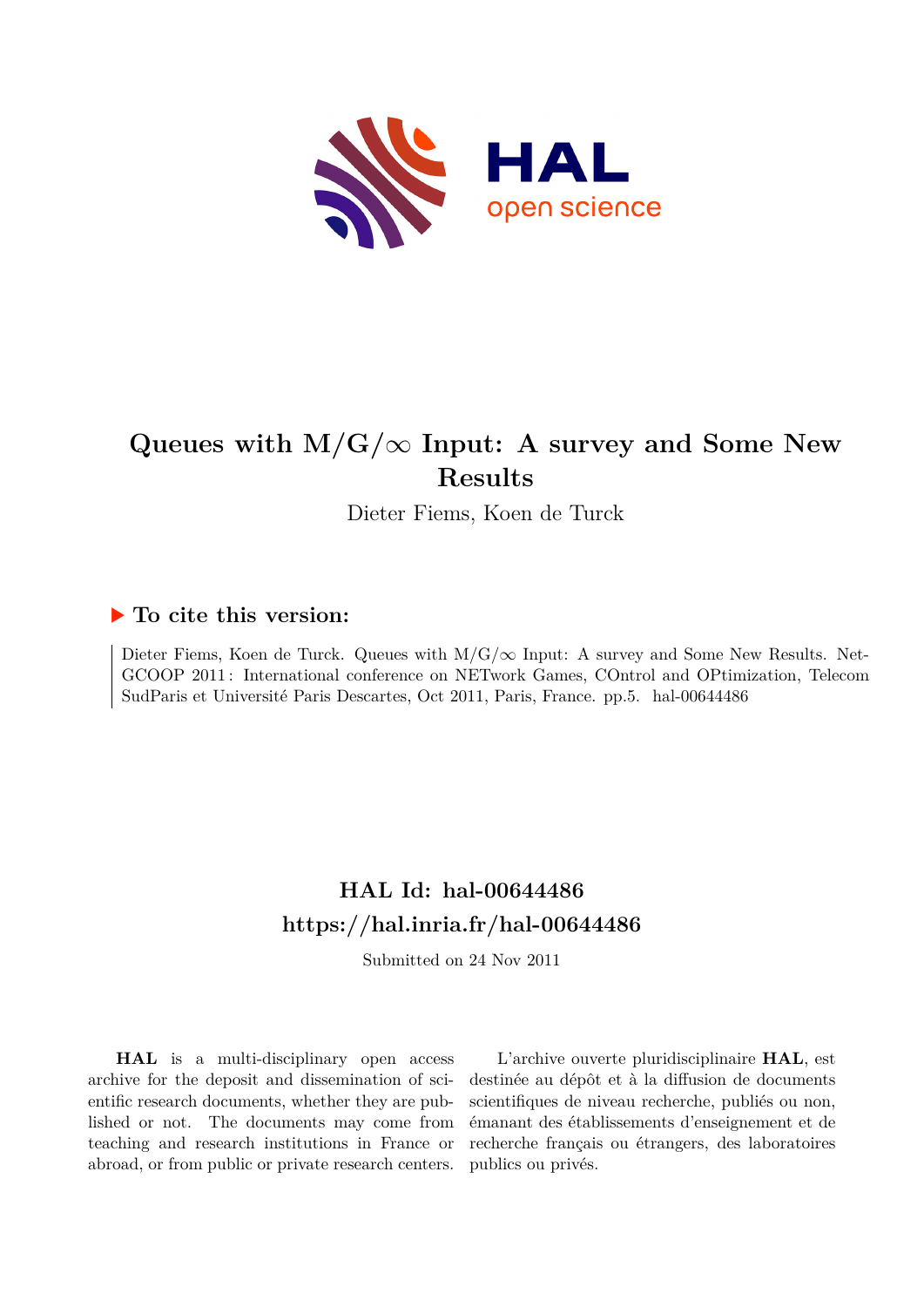

## **Queues with M/G/***∞* **Input: A survey and Some New Results**

Dieter Fiems, Koen de Turck

### **To cite this version:**

Dieter Fiems, Koen de Turck. Queues with  $M/G/\infty$  Input: A survey and Some New Results. Net-GCOOP 2011 : International conference on NETwork Games, COntrol and OPtimization, Telecom SudParis et Université Paris Descartes, Oct 2011, Paris, France. pp.5. hal-00644486

## **HAL Id: hal-00644486 <https://hal.inria.fr/hal-00644486>**

Submitted on 24 Nov 2011

**HAL** is a multi-disciplinary open access archive for the deposit and dissemination of scientific research documents, whether they are published or not. The documents may come from teaching and research institutions in France or abroad, or from public or private research centers.

L'archive ouverte pluridisciplinaire **HAL**, est destinée au dépôt et à la diffusion de documents scientifiques de niveau recherche, publiés ou non, émanant des établissements d'enseignement et de recherche français ou étrangers, des laboratoires publics ou privés.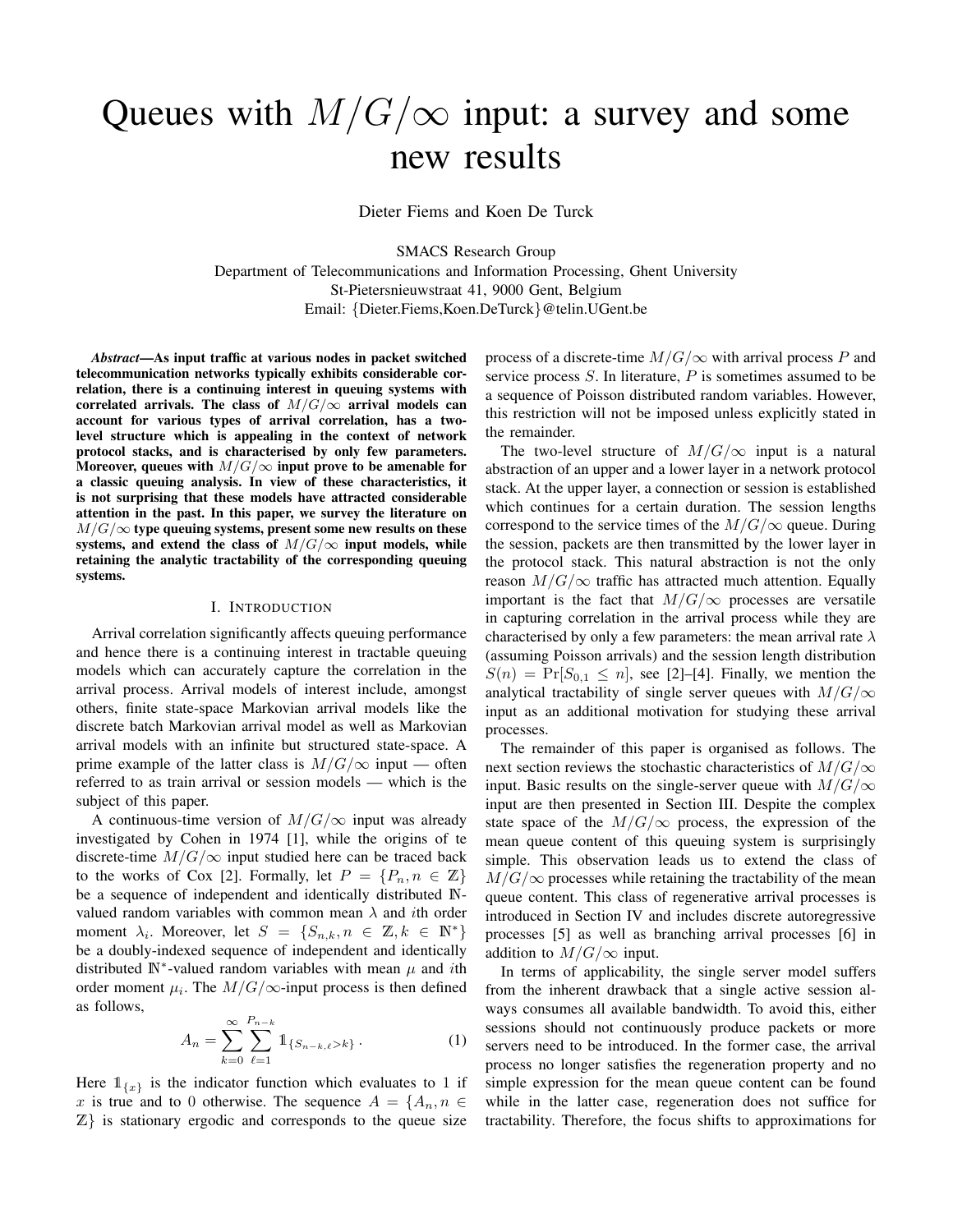# Queues with  $M/G/\infty$  input: a survey and some new results

Dieter Fiems and Koen De Turck

SMACS Research Group

Department of Telecommunications and Information Processing, Ghent University St-Pietersnieuwstraat 41, 9000 Gent, Belgium Email: {Dieter.Fiems,Koen.DeTurck}@telin.UGent.be

*Abstract*—As input traffic at various nodes in packet switched telecommunication networks typically exhibits considerable correlation, there is a continuing interest in queuing systems with correlated arrivals. The class of  $M/G/\infty$  arrival models can account for various types of arrival correlation, has a twolevel structure which is appealing in the context of network protocol stacks, and is characterised by only few parameters. Moreover, queues with  $M/G/\infty$  input prove to be amenable for a classic queuing analysis. In view of these characteristics, it is not surprising that these models have attracted considerable attention in the past. In this paper, we survey the literature on  $M/G/\infty$  type queuing systems, present some new results on these systems, and extend the class of  $M/G/\infty$  input models, while retaining the analytic tractability of the corresponding queuing systems.

#### I. INTRODUCTION

Arrival correlation significantly affects queuing performance and hence there is a continuing interest in tractable queuing models which can accurately capture the correlation in the arrival process. Arrival models of interest include, amongst others, finite state-space Markovian arrival models like the discrete batch Markovian arrival model as well as Markovian arrival models with an infinite but structured state-space. A prime example of the latter class is  $M/G/\infty$  input — often referred to as train arrival or session models — which is the subject of this paper.

A continuous-time version of  $M/G/\infty$  input was already investigated by Cohen in 1974 [1], while the origins of te discrete-time  $M/G/\infty$  input studied here can be traced back to the works of Cox [2]. Formally, let  $P = \{P_n, n \in \mathbb{Z}\}\$ be a sequence of independent and identically distributed Nvalued random variables with common mean  $\lambda$  and *i*th order moment  $\lambda_i$ . Moreover, let  $S = \{S_{n,k}, n \in \mathbb{Z}, k \in \mathbb{N}^*\}$ be a doubly-indexed sequence of independent and identically distributed  $\mathbb{N}^*$ -valued random variables with mean  $\mu$  and *i*th order moment  $\mu_i$ . The  $M/G/\infty$ -input process is then defined as follows,

$$
A_n = \sum_{k=0}^{\infty} \sum_{\ell=1}^{P_{n-k}} 1\!\!1_{\{S_{n-k,\ell} > k\}}.
$$
 (1)

Here  $\mathbb{1}_{\{x\}}$  is the indicator function which evaluates to 1 if x is true and to 0 otherwise. The sequence  $A = \{A_n, n \in$  $\mathbb{Z}$  is stationary ergodic and corresponds to the queue size

process of a discrete-time  $M/G/\infty$  with arrival process P and service process  $S$ . In literature,  $P$  is sometimes assumed to be a sequence of Poisson distributed random variables. However, this restriction will not be imposed unless explicitly stated in the remainder.

The two-level structure of  $M/G/\infty$  input is a natural abstraction of an upper and a lower layer in a network protocol stack. At the upper layer, a connection or session is established which continues for a certain duration. The session lengths correspond to the service times of the  $M/G/\infty$  queue. During the session, packets are then transmitted by the lower layer in the protocol stack. This natural abstraction is not the only reason  $M/G/\infty$  traffic has attracted much attention. Equally important is the fact that  $M/G/\infty$  processes are versatile in capturing correlation in the arrival process while they are characterised by only a few parameters: the mean arrival rate  $\lambda$ (assuming Poisson arrivals) and the session length distribution  $S(n) = \Pr[S_{0,1} \leq n]$ , see [2]–[4]. Finally, we mention the analytical tractability of single server queues with  $M/G/\infty$ input as an additional motivation for studying these arrival processes.

The remainder of this paper is organised as follows. The next section reviews the stochastic characteristics of  $M/G/\infty$ input. Basic results on the single-server queue with  $M/G/\infty$ input are then presented in Section III. Despite the complex state space of the  $M/G/\infty$  process, the expression of the mean queue content of this queuing system is surprisingly simple. This observation leads us to extend the class of  $M/G/\infty$  processes while retaining the tractability of the mean queue content. This class of regenerative arrival processes is introduced in Section IV and includes discrete autoregressive processes [5] as well as branching arrival processes [6] in addition to  $M/G/\infty$  input.

In terms of applicability, the single server model suffers from the inherent drawback that a single active session always consumes all available bandwidth. To avoid this, either sessions should not continuously produce packets or more servers need to be introduced. In the former case, the arrival process no longer satisfies the regeneration property and no simple expression for the mean queue content can be found while in the latter case, regeneration does not suffice for tractability. Therefore, the focus shifts to approximations for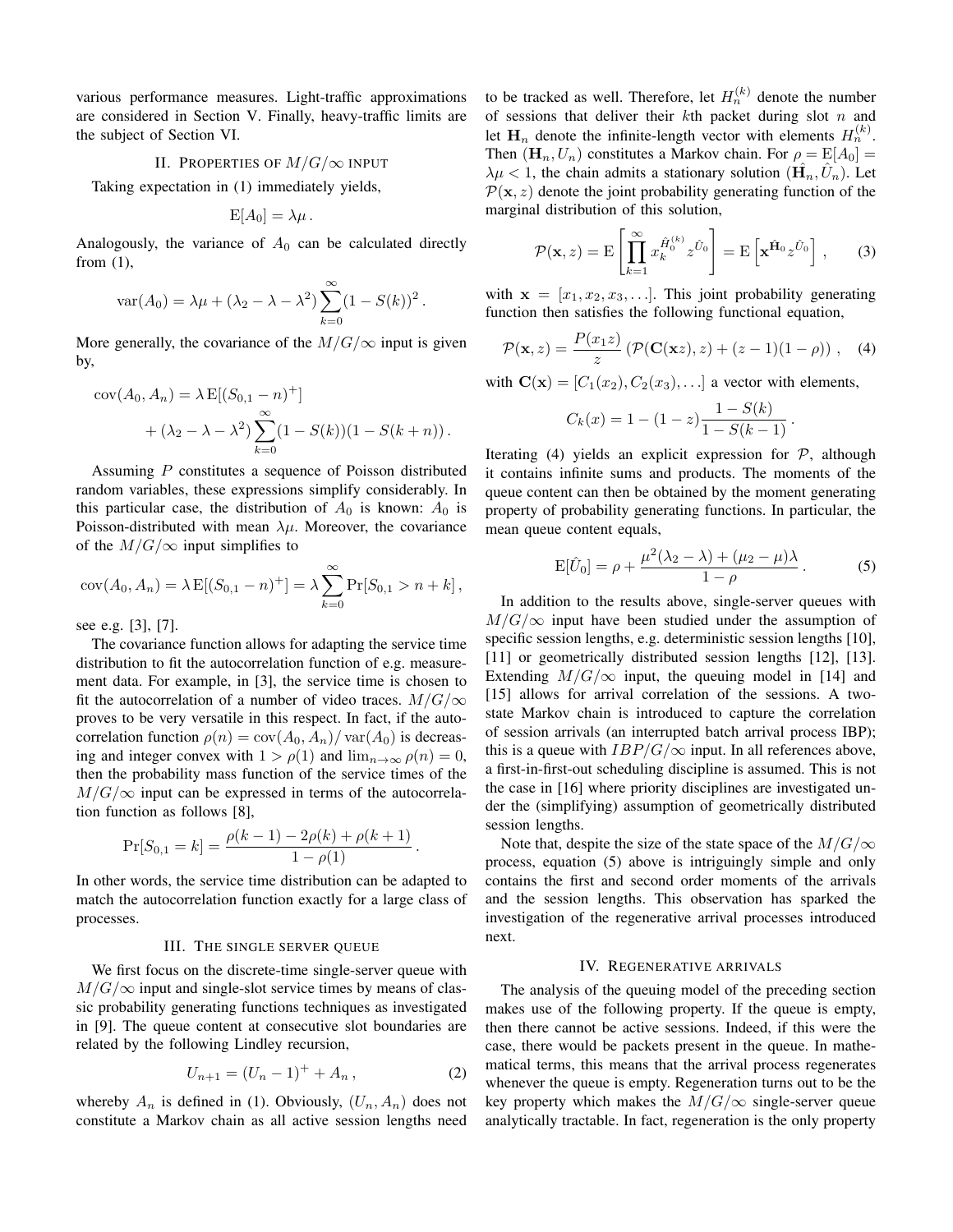various performance measures. Light-traffic approximations are considered in Section V. Finally, heavy-traffic limits are the subject of Section VI.

#### II. PROPERTIES OF  $M/G/\infty$  INPUT

Taking expectation in (1) immediately yields,

$$
E[A_0] = \lambda \mu.
$$

Analogously, the variance of  $A_0$  can be calculated directly from (1),

$$
\text{var}(A_0) = \lambda \mu + (\lambda_2 - \lambda - \lambda^2) \sum_{k=0}^{\infty} (1 - S(k))^2.
$$

More generally, the covariance of the  $M/G/\infty$  input is given by,

$$
cov(A_0, A_n) = \lambda E[(S_{0,1} - n)^+] + (\lambda_2 - \lambda - \lambda^2) \sum_{k=0}^{\infty} (1 - S(k))(1 - S(k+n)).
$$

Assuming P constitutes a sequence of Poisson distributed random variables, these expressions simplify considerably. In this particular case, the distribution of  $A_0$  is known:  $A_0$  is Poisson-distributed with mean  $\lambda \mu$ . Moreover, the covariance of the  $M/G/\infty$  input simplifies to

$$
cov(A_0, A_n) = \lambda E[(S_{0,1} - n)^+] = \lambda \sum_{k=0}^{\infty} Pr[S_{0,1} > n + k],
$$

see e.g. [3], [7].

The covariance function allows for adapting the service time distribution to fit the autocorrelation function of e.g. measurement data. For example, in [3], the service time is chosen to fit the autocorrelation of a number of video traces.  $M/G/\infty$ proves to be very versatile in this respect. In fact, if the autocorrelation function  $\rho(n) = \text{cov}(A_0, A_n) / \text{var}(A_0)$  is decreasing and integer convex with  $1 > \rho(1)$  and  $\lim_{n \to \infty} \rho(n) = 0$ , then the probability mass function of the service times of the  $M/G/\infty$  input can be expressed in terms of the autocorrelation function as follows [8],

$$
Pr[S_{0,1} = k] = \frac{\rho(k-1) - 2\rho(k) + \rho(k+1)}{1 - \rho(1)}.
$$

In other words, the service time distribution can be adapted to match the autocorrelation function exactly for a large class of processes.

#### III. THE SINGLE SERVER QUEUE

We first focus on the discrete-time single-server queue with  $M/G/\infty$  input and single-slot service times by means of classic probability generating functions techniques as investigated in [9]. The queue content at consecutive slot boundaries are related by the following Lindley recursion,

$$
U_{n+1} = (U_n - 1)^+ + A_n, \qquad (2)
$$

whereby  $A_n$  is defined in (1). Obviously,  $(U_n, A_n)$  does not constitute a Markov chain as all active session lengths need

to be tracked as well. Therefore, let  $H_n^{(k)}$  denote the number of sessions that deliver their  $k$ th packet during slot  $n$  and let  $\mathbf{H}_n$  denote the infinite-length vector with elements  $H_n^{(k)}$ . Then  $(\mathbf{H}_n, U_n)$  constitutes a Markov chain. For  $\rho = \mathbb{E}[A_0] =$  $\lambda \mu < 1$ , the chain admits a stationary solution  $(\hat{H_n}, \hat{U_n})$ . Let  $P(x, z)$  denote the joint probability generating function of the marginal distribution of this solution,

$$
\mathcal{P}(\mathbf{x}, z) = \mathrm{E}\left[\prod_{k=1}^{\infty} x_k^{\hat{H}_0^{(k)}} z^{\hat{U}_0}\right] = \mathrm{E}\left[\mathbf{x}^{\hat{\mathbf{H}}_0} z^{\hat{U}_0}\right],\qquad(3)
$$

with  $x = [x_1, x_2, x_3, \ldots]$ . This joint probability generating function then satisfies the following functional equation,

$$
\mathcal{P}(\mathbf{x}, z) = \frac{P(x_1 z)}{z} \left( \mathcal{P}(\mathbf{C}(\mathbf{x}z), z) + (z - 1)(1 - \rho) \right), \quad (4)
$$
  
with  $\mathbf{C}(\mathbf{x}) = [C_1(x_2), C_2(x_3), \dots]$  a vector with elements,

$$
\begin{array}{c}\n\text{(a)} \\
\hline\n\end{array}
$$
\n
$$
\begin{array}{c}\n\text{(b)} \\
\hline\n\end{array}
$$
\n
$$
\begin{array}{c}\n\text{(c)} \\
\hline\n\end{array}
$$
\n
$$
\begin{array}{c}\n\text{(d)} \\
\hline\n\end{array}
$$
\n
$$
\begin{array}{c}\n1 - S(k) \\
\hline\n\end{array}
$$

$$
C_k(x) = 1 - (1 - z) \frac{1 - S(k)}{1 - S(k - 1)}.
$$

Iterating (4) yields an explicit expression for  $P$ , although it contains infinite sums and products. The moments of the queue content can then be obtained by the moment generating property of probability generating functions. In particular, the mean queue content equals,

$$
E[\hat{U}_0] = \rho + \frac{\mu^2(\lambda_2 - \lambda) + (\mu_2 - \mu)\lambda}{1 - \rho}.
$$
 (5)

In addition to the results above, single-server queues with  $M/G/\infty$  input have been studied under the assumption of specific session lengths, e.g. deterministic session lengths [10], [11] or geometrically distributed session lengths [12], [13]. Extending  $M/G/\infty$  input, the queuing model in [14] and [15] allows for arrival correlation of the sessions. A twostate Markov chain is introduced to capture the correlation of session arrivals (an interrupted batch arrival process IBP); this is a queue with  $IBP/G/\infty$  input. In all references above, a first-in-first-out scheduling discipline is assumed. This is not the case in [16] where priority disciplines are investigated under the (simplifying) assumption of geometrically distributed session lengths.

Note that, despite the size of the state space of the  $M/G/\infty$ process, equation (5) above is intriguingly simple and only contains the first and second order moments of the arrivals and the session lengths. This observation has sparked the investigation of the regenerative arrival processes introduced next.

#### IV. REGENERATIVE ARRIVALS

The analysis of the queuing model of the preceding section makes use of the following property. If the queue is empty, then there cannot be active sessions. Indeed, if this were the case, there would be packets present in the queue. In mathematical terms, this means that the arrival process regenerates whenever the queue is empty. Regeneration turns out to be the key property which makes the  $M/G/\infty$  single-server queue analytically tractable. In fact, regeneration is the only property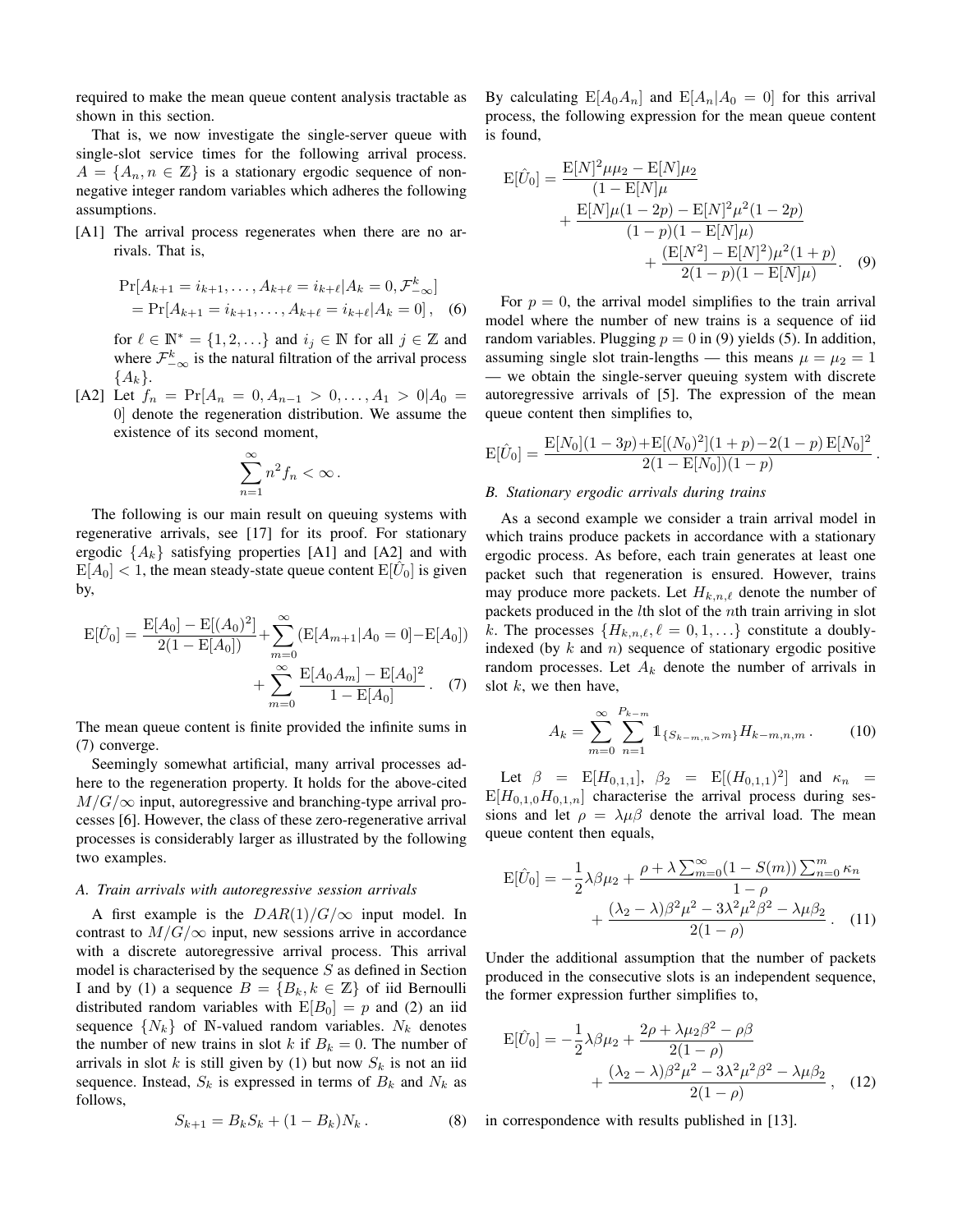required to make the mean queue content analysis tractable as shown in this section.

That is, we now investigate the single-server queue with single-slot service times for the following arrival process.  $A = \{A_n, n \in \mathbb{Z}\}\$ is a stationary ergodic sequence of nonnegative integer random variables which adheres the following assumptions.

[A1] The arrival process regenerates when there are no arrivals. That is,

$$
\Pr[A_{k+1} = i_{k+1}, \dots, A_{k+\ell} = i_{k+\ell} | A_k = 0, \mathcal{F}_{-\infty}^k]
$$
  
= 
$$
\Pr[A_{k+1} = i_{k+1}, \dots, A_{k+\ell} = i_{k+\ell} | A_k = 0], \quad (6)
$$

for  $\ell \in \mathbb{N}^* = \{1, 2, ...\}$  and  $i_j \in \mathbb{N}$  for all  $j \in \mathbb{Z}$  and where  $\mathcal{F}^k_{-\infty}$  is the natural filtration of the arrival process  ${A_k}.$ 

[A2] Let  $f_n = Pr[A_n = 0, A_{n-1} > 0, \ldots, A_1 > 0 | A_0 =$ 0] denote the regeneration distribution. We assume the existence of its second moment,

$$
\sum_{n=1}^{\infty} n^2 f_n < \infty \, .
$$

The following is our main result on queuing systems with regenerative arrivals, see [17] for its proof. For stationary ergodic  $\{A_k\}$  satisfying properties [A1] and [A2] and with  $E[A_0] < 1$ , the mean steady-state queue content  $E[\hat{U}_0]$  is given by,

$$
E[\hat{U}_0] = \frac{E[A_0] - E[(A_0)^2]}{2(1 - E[A_0])} + \sum_{m=0}^{\infty} (E[A_{m+1}|A_0 = 0] - E[A_0]) + \sum_{m=0}^{\infty} \frac{E[A_0 A_m] - E[A_0]^2}{1 - E[A_0]}.
$$
 (7)

The mean queue content is finite provided the infinite sums in (7) converge.

Seemingly somewhat artificial, many arrival processes adhere to the regeneration property. It holds for the above-cited  $M/G/\infty$  input, autoregressive and branching-type arrival processes [6]. However, the class of these zero-regenerative arrival processes is considerably larger as illustrated by the following two examples.

#### *A. Train arrivals with autoregressive session arrivals*

A first example is the  $DAR(1)/G/\infty$  input model. In contrast to  $M/G/\infty$  input, new sessions arrive in accordance with a discrete autoregressive arrival process. This arrival model is characterised by the sequence  $S$  as defined in Section I and by (1) a sequence  $B = \{B_k, k \in \mathbb{Z}\}\$  of iid Bernoulli distributed random variables with  $E[B_0] = p$  and (2) an iid sequence  $\{N_k\}$  of N-valued random variables.  $N_k$  denotes the number of new trains in slot k if  $B_k = 0$ . The number of arrivals in slot k is still given by (1) but now  $S_k$  is not an iid sequence. Instead,  $S_k$  is expressed in terms of  $B_k$  and  $N_k$  as follows,

$$
S_{k+1} = B_k S_k + (1 - B_k) N_k.
$$
 (8)

By calculating  $E[A_0A_n]$  and  $E[A_n|A_0 = 0]$  for this arrival process, the following expression for the mean queue content is found,

$$
E[\hat{U}_0] = \frac{E[N]^2 \mu \mu_2 - E[N] \mu_2}{(1 - E[N] \mu} + \frac{E[N] \mu (1 - 2p) - E[N]^2 \mu^2 (1 - 2p)}{(1 - p)(1 - E[N] \mu)} + \frac{(E[N^2] - E[N]^2) \mu^2 (1 + p)}{2(1 - p)(1 - E[N] \mu)}.
$$
 (9)

For  $p = 0$ , the arrival model simplifies to the train arrival model where the number of new trains is a sequence of iid random variables. Plugging  $p = 0$  in (9) yields (5). In addition, assuming single slot train-lengths — this means  $\mu = \mu_2 = 1$ — we obtain the single-server queuing system with discrete autoregressive arrivals of [5]. The expression of the mean queue content then simplifies to,

$$
E[\hat{U}_0] = \frac{E[N_0](1-3p) + E[(N_0)^2](1+p) - 2(1-p) E[N_0]^2}{2(1 - E[N_0])(1-p)}.
$$

#### *B. Stationary ergodic arrivals during trains*

As a second example we consider a train arrival model in which trains produce packets in accordance with a stationary ergodic process. As before, each train generates at least one packet such that regeneration is ensured. However, trains may produce more packets. Let  $H_{k,n,\ell}$  denote the number of packets produced in the lth slot of the nth train arriving in slot k. The processes  $\{H_{k,n,\ell}, \ell = 0, 1, \ldots\}$  constitute a doublyindexed (by  $k$  and  $n$ ) sequence of stationary ergodic positive random processes. Let  $A_k$  denote the number of arrivals in slot  $k$ , we then have,

$$
A_k = \sum_{m=0}^{\infty} \sum_{n=1}^{P_{k-m}} 1\!\!1_{\{S_{k-m,n} > m\}} H_{k-m,n,m} \,. \tag{10}
$$

Let  $\beta = \mathbb{E}[H_{0,1,1}], \ \beta_2 = \mathbb{E}[(H_{0,1,1})^2]$  and  $\kappa_n =$  $E[H_{0,1,0}H_{0,1,n}]$  characterise the arrival process during sessions and let  $\rho = \lambda \mu \beta$  denote the arrival load. The mean queue content then equals,

$$
E[\hat{U}_0] = -\frac{1}{2}\lambda\beta\mu_2 + \frac{\rho + \lambda\sum_{m=0}^{\infty} (1 - S(m))\sum_{n=0}^m \kappa_n}{1 - \rho} + \frac{(\lambda_2 - \lambda)\beta^2 \mu^2 - 3\lambda^2 \mu^2 \beta^2 - \lambda \mu \beta_2}{2(1 - \rho)}.
$$
 (11)

Under the additional assumption that the number of packets produced in the consecutive slots is an independent sequence, the former expression further simplifies to,

$$
E[\hat{U}_0] = -\frac{1}{2}\lambda\beta\mu_2 + \frac{2\rho + \lambda\mu_2\beta^2 - \rho\beta}{2(1-\rho)} + \frac{(\lambda_2 - \lambda)\beta^2\mu^2 - 3\lambda^2\mu^2\beta^2 - \lambda\mu\beta_2}{2(1-\rho)},
$$
 (12)

in correspondence with results published in [13].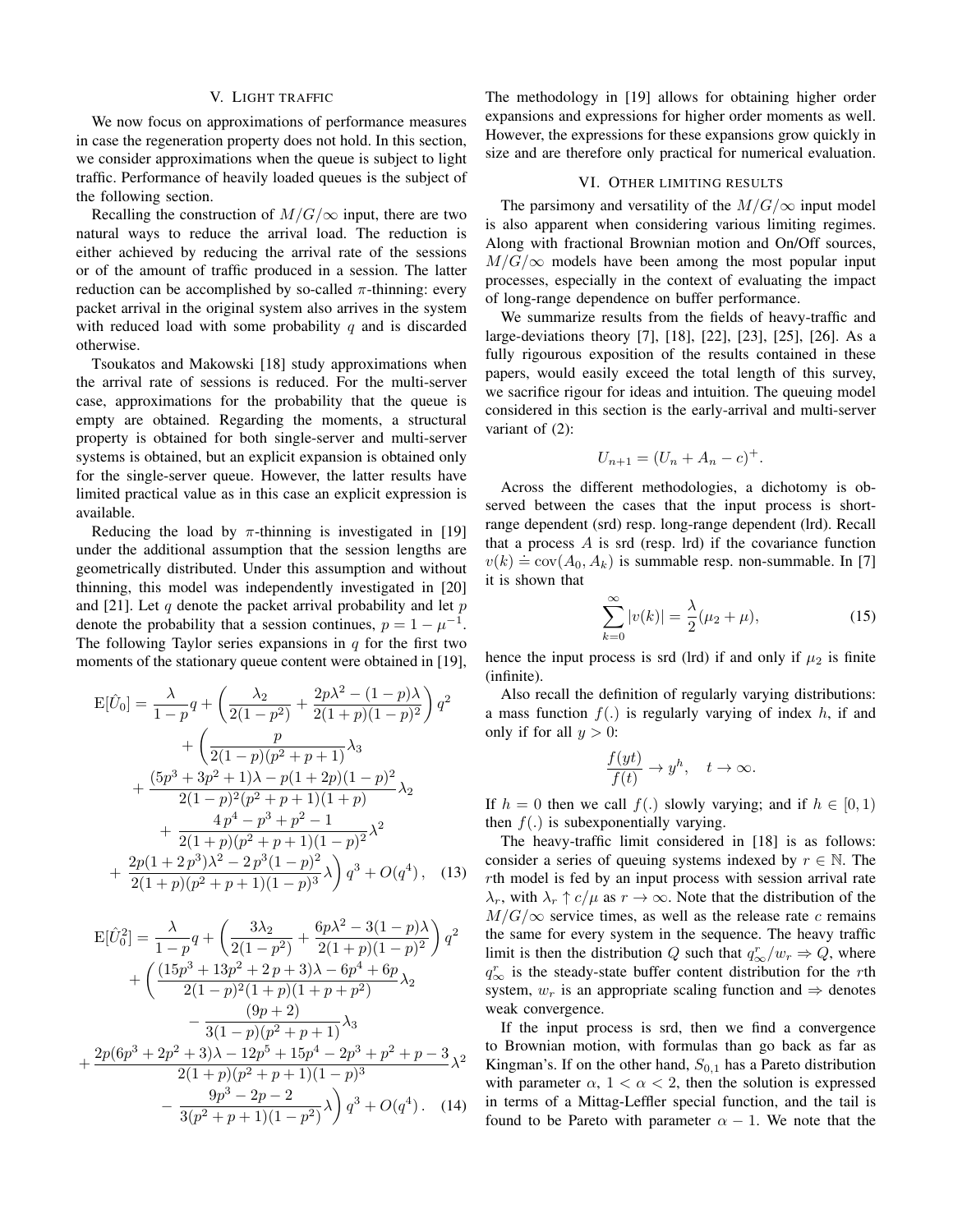#### V. LIGHT TRAFFIC

We now focus on approximations of performance measures in case the regeneration property does not hold. In this section, we consider approximations when the queue is subject to light traffic. Performance of heavily loaded queues is the subject of the following section.

Recalling the construction of  $M/G/\infty$  input, there are two natural ways to reduce the arrival load. The reduction is either achieved by reducing the arrival rate of the sessions or of the amount of traffic produced in a session. The latter reduction can be accomplished by so-called  $\pi$ -thinning: every packet arrival in the original system also arrives in the system with reduced load with some probability  $q$  and is discarded otherwise.

Tsoukatos and Makowski [18] study approximations when the arrival rate of sessions is reduced. For the multi-server case, approximations for the probability that the queue is empty are obtained. Regarding the moments, a structural property is obtained for both single-server and multi-server systems is obtained, but an explicit expansion is obtained only for the single-server queue. However, the latter results have limited practical value as in this case an explicit expression is available.

Reducing the load by  $\pi$ -thinning is investigated in [19] under the additional assumption that the session lengths are geometrically distributed. Under this assumption and without thinning, this model was independently investigated in [20] and [21]. Let  $q$  denote the packet arrival probability and let  $p$ denote the probability that a session continues,  $p = 1 - \mu^{-1}$ . The following Taylor series expansions in  $q$  for the first two moments of the stationary queue content were obtained in [19],

$$
E[\hat{U}_0] = \frac{\lambda}{1-p} q + \left(\frac{\lambda_2}{2(1-p^2)} + \frac{2p\lambda^2 - (1-p)\lambda}{2(1+p)(1-p)^2}\right) q^2
$$
  
+ 
$$
\left(\frac{p}{2(1-p)(p^2+p+1)}\lambda_3\right)
$$
  
+ 
$$
\frac{(5p^3+3p^2+1)\lambda - p(1+2p)(1-p)^2}{2(1-p)^2(p^2+p+1)(1+p)}\lambda_2
$$
  
+ 
$$
\frac{4p^4-p^3+p^2-1}{2(1+p)(p^2+p+1)(1-p)^2}\lambda^2
$$
  
+ 
$$
\frac{2p(1+2p^3)\lambda^2-2p^3(1-p)^2}{2(1+p)(p^2+p+1)(1-p)^3}\lambda\right) q^3 + O(q^4), \quad (13)
$$

$$
E[\hat{U}_0^2] = \frac{\lambda}{1-p} q + \left(\frac{3\lambda_2}{2(1-p^2)} + \frac{6p\lambda^2 - 3(1-p)\lambda}{2(1+p)(1-p)^2}\right) q^2
$$
  
+ 
$$
\left(\frac{(15p^3 + 13p^2 + 2p + 3)\lambda - 6p^4 + 6p}{2(1-p)^2(1+p)(1+p+p^2)}\lambda_2 - \frac{(9p+2)}{3(1-p)(p^2+p+1)}\lambda_3 + \frac{2p(6p^3 + 2p^2 + 3)\lambda - 12p^5 + 15p^4 - 2p^3 + p^2 + p - 3}{2(1+p)(p^2+p+1)(1-p)^3}\lambda_2 - \frac{9p^3 - 2p - 2}{3(p^2+p+1)(1-p^2)}\lambda\right) q^3 + O(q^4).
$$
 (14)

The methodology in [19] allows for obtaining higher order expansions and expressions for higher order moments as well. However, the expressions for these expansions grow quickly in size and are therefore only practical for numerical evaluation.

#### VI. OTHER LIMITING RESULTS

The parsimony and versatility of the  $M/G/\infty$  input model is also apparent when considering various limiting regimes. Along with fractional Brownian motion and On/Off sources,  $M/G/\infty$  models have been among the most popular input processes, especially in the context of evaluating the impact of long-range dependence on buffer performance.

We summarize results from the fields of heavy-traffic and large-deviations theory [7], [18], [22], [23], [25], [26]. As a fully rigourous exposition of the results contained in these papers, would easily exceed the total length of this survey, we sacrifice rigour for ideas and intuition. The queuing model considered in this section is the early-arrival and multi-server variant of (2):

$$
U_{n+1} = (U_n + A_n - c)^+.
$$

Across the different methodologies, a dichotomy is observed between the cases that the input process is shortrange dependent (srd) resp. long-range dependent (lrd). Recall that a process  $A$  is srd (resp. lrd) if the covariance function  $v(k) \doteq \text{cov}(A_0, A_k)$  is summable resp. non-summable. In [7] it is shown that

$$
\sum_{k=0}^{\infty} |v(k)| = \frac{\lambda}{2} (\mu_2 + \mu),
$$
\n(15)

hence the input process is srd (lrd) if and only if  $\mu_2$  is finite (infinite).

Also recall the definition of regularly varying distributions: a mass function  $f(.)$  is regularly varying of index h, if and only if for all  $y > 0$ :

$$
\frac{f(yt)}{f(t)} \to y^h, \quad t \to \infty.
$$

If  $h = 0$  then we call  $f(.)$  slowly varying; and if  $h \in [0, 1)$ then  $f(.)$  is subexponentially varying.

The heavy-traffic limit considered in [18] is as follows: consider a series of queuing systems indexed by  $r \in \mathbb{N}$ . The rth model is fed by an input process with session arrival rate  $\lambda_r$ , with  $\lambda_r \uparrow c/\mu$  as  $r \to \infty$ . Note that the distribution of the  $M/G/\infty$  service times, as well as the release rate c remains the same for every system in the sequence. The heavy traffic limit is then the distribution Q such that  $q_{\infty}^r/w_r \Rightarrow Q$ , where  $q_{\infty}^{r}$  is the steady-state buffer content distribution for the rth system,  $w_r$  is an appropriate scaling function and  $\Rightarrow$  denotes weak convergence.

If the input process is srd, then we find a convergence to Brownian motion, with formulas than go back as far as Kingman's. If on the other hand,  $S_{0,1}$  has a Pareto distribution with parameter  $\alpha$ ,  $1 < \alpha < 2$ , then the solution is expressed in terms of a Mittag-Leffler special function, and the tail is found to be Pareto with parameter  $\alpha - 1$ . We note that the